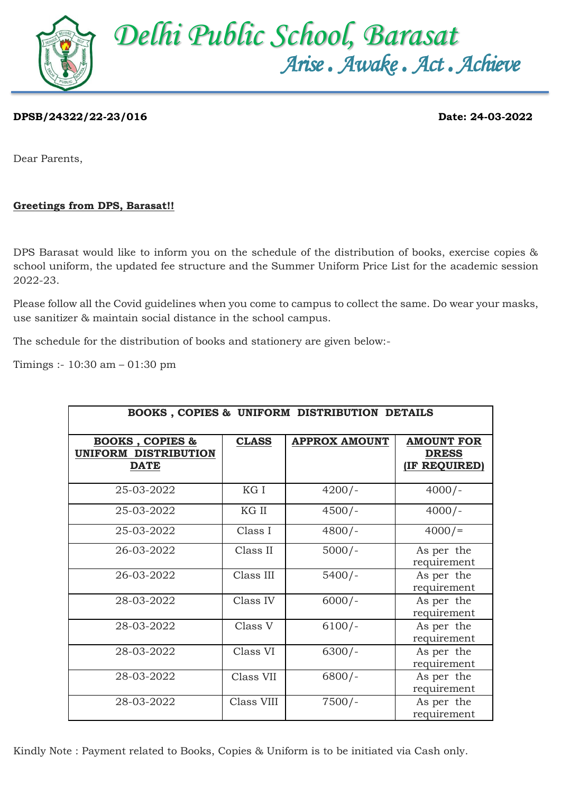

## **DPSB/24322/22-23/016 Date: 24-03-2022**

Dear Parents,

## **Greetings from DPS, Barasat!!**

DPS Barasat would like to inform you on the schedule of the distribution of books, exercise copies & school uniform, the updated fee structure and the Summer Uniform Price List for the academic session 2022-23.

Please follow all the Covid guidelines when you come to campus to collect the same. Do wear your masks, use sanitizer & maintain social distance in the school campus.

The schedule for the distribution of books and stationery are given below:-

Timings :- 10:30 am – 01:30 pm

| BOOKS, COPIES & UNIFORM DISTRIBUTION DETAILS                      |              |                      |                                                          |  |  |  |  |
|-------------------------------------------------------------------|--------------|----------------------|----------------------------------------------------------|--|--|--|--|
| <b>BOOKS, COPIES &amp;</b><br>UNIFORM DISTRIBUTION<br><b>DATE</b> | <b>CLASS</b> | <b>APPROX AMOUNT</b> | <b>AMOUNT FOR</b><br><b>DRESS</b><br><b>IF REQUIRED)</b> |  |  |  |  |
| 25-03-2022                                                        | KG I         | $4200/-$             | $4000/-$                                                 |  |  |  |  |
| 25-03-2022                                                        | KG II        | $4500/-$             | $4000/-$                                                 |  |  |  |  |
| 25-03-2022                                                        | Class I      | $4800/-$             | 4000/                                                    |  |  |  |  |
| 26-03-2022                                                        | Class II     | $5000/-$             | As per the<br>requirement                                |  |  |  |  |
| 26-03-2022                                                        | Class III    | $5400/-$             | As per the<br>requirement                                |  |  |  |  |
| 28-03-2022                                                        | Class IV     | $6000/-$             | As per the<br>requirement                                |  |  |  |  |
| 28-03-2022                                                        | Class V      | $6100/-$             | As per the<br>requirement                                |  |  |  |  |
| 28-03-2022                                                        | Class VI     | $6300/-$             | As per the<br>requirement                                |  |  |  |  |
| 28-03-2022                                                        | Class VII    | $6800/-$             | As per the<br>requirement                                |  |  |  |  |
| 28-03-2022                                                        | Class VIII   | $7500/-$             | As per the<br>requirement                                |  |  |  |  |

Kindly Note : Payment related to Books, Copies & Uniform is to be initiated via Cash only.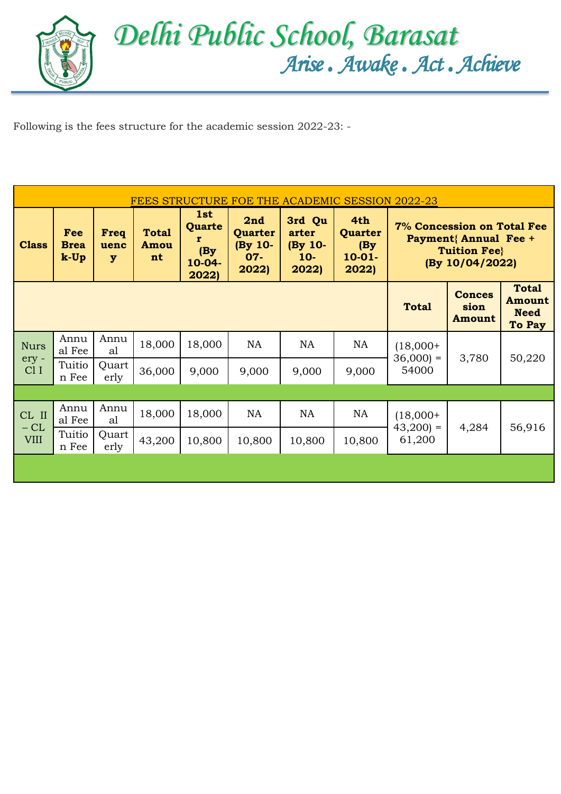

 Following is the fees structure for the academic session 2022-23: -

| FEES STRUCTURE FOE THE ACADEMIC SESSION 2022-23          |                              |                                         |                            |                                                 |                                              |                                              |                                             |                                                                                                     |                                 |                                                               |
|----------------------------------------------------------|------------------------------|-----------------------------------------|----------------------------|-------------------------------------------------|----------------------------------------------|----------------------------------------------|---------------------------------------------|-----------------------------------------------------------------------------------------------------|---------------------------------|---------------------------------------------------------------|
| <b>Class</b>                                             | Fee<br><b>Brea</b><br>$k-Up$ | Freq<br>uenc<br>$\overline{\mathbf{y}}$ | <b>Total</b><br>Amou<br>nt | 1st<br>Quarte<br>r<br>(By)<br>$10-04-$<br>2022) | 2nd<br>Quarter<br>(By 10-<br>$07 -$<br>2022) | 3rd Qu<br>arter<br>(By 10-<br>$10-$<br>2022) | 4th<br>Quarter<br>(By)<br>$10-01-$<br>2022) | 7% Concession on Total Fee<br><b>Payment{ Annual Fee +</b><br><b>Tuition Fee</b><br>(By 10/04/2022) |                                 |                                                               |
|                                                          |                              |                                         |                            |                                                 |                                              |                                              |                                             | <b>Total</b>                                                                                        | <b>Conces</b><br>sion<br>Amount | <b>Total</b><br><b>Amount</b><br><b>Need</b><br><b>To Pay</b> |
| Annu<br><b>Nurs</b><br>ery -<br>Cl <sub>I</sub><br>n Fee | al Fee                       | Annu<br>al                              | 18,000                     | 18,000                                          | <b>NA</b>                                    | <b>NA</b>                                    | <b>NA</b>                                   | $(18,000+$<br>$36,000 =$<br>54000                                                                   | 3,780                           | 50,220                                                        |
|                                                          | Tuitio                       | Quart<br>erly                           | 36,000                     | 9,000                                           | 9,000                                        | 9,000                                        | 9,000                                       |                                                                                                     |                                 |                                                               |
|                                                          |                              |                                         |                            |                                                 |                                              |                                              |                                             |                                                                                                     |                                 |                                                               |
| CL II                                                    | Annu<br>al Fee               | Annu<br>al                              | 18,000                     | 18,000                                          | <b>NA</b>                                    | NA                                           | <b>NA</b>                                   | $(18,000+$<br>$43,200$ =                                                                            | 4,284                           | 56,916                                                        |
| $-CL$<br><b>VIII</b>                                     | Tuitio<br>n Fee              | Quart<br>erly                           | 43,200                     | 10,800                                          | 10,800                                       | 10,800                                       | 10,800                                      | 61,200                                                                                              |                                 |                                                               |
|                                                          |                              |                                         |                            |                                                 |                                              |                                              |                                             |                                                                                                     |                                 |                                                               |